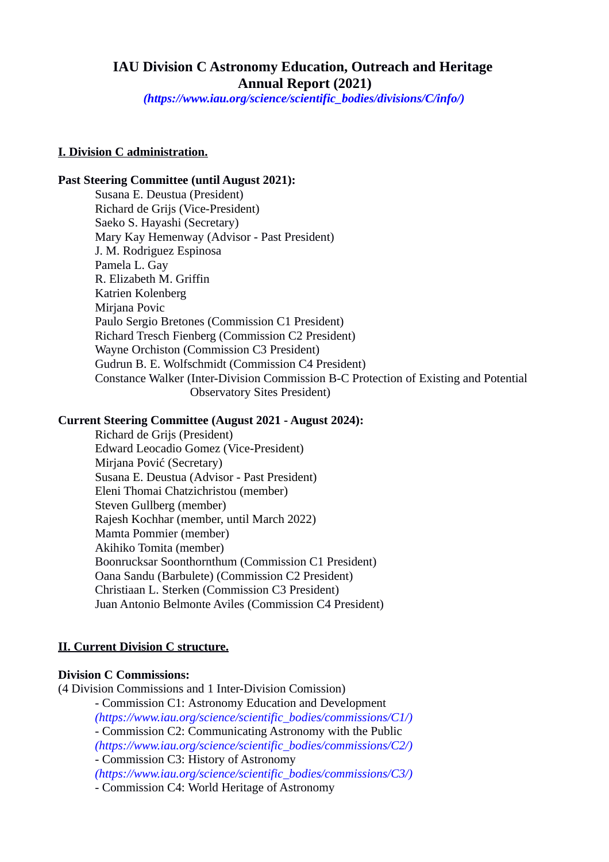# **IAU Division C Astronomy Education, Outreach and Heritage Annual Report (2021)**

*(https://www.iau.org/science/scientific\_bodies/divisions/C/info/)*

#### **I. Division C administration.**

#### **Past Steering Committee (until August 2021):**

Susana E. Deustua (President) [Richard de Grijs \(Vice-President\)](https://www.iau.org/administration/membership/individual/512/)  Saeko S. Hayashi (Secretary) Mary Kay Hemenway (Advisor - Past President) J. M. Rodriguez Espinosa Pamela L. Gay R. Elizabeth M. Griffin Katrien Kolenberg Mirjana Povic Paulo Sergio Bretones (Commission C1 President) Richard Tresch Fienberg (Commission C2 President) Wayne Orchiston (Commission C3 President) Gudrun B. E. Wolfschmidt (Commission C4 President) Constance Walker (Inter-Division Commission B-C Protection of Existing and Potential Observatory Sites President)

### **Current Steering Committee (August 2021 - August 2024):**

[Richard de Grijs \(President\)](https://www.iau.org/administration/membership/individual/512/)  Edward Leocadio Gomez (Vice-President) Mirjana Pović (Secretary) Susana E. Deustua (Advisor - Past President) Eleni Thomai Chatzichristou (member) Steven Gullberg (member) Rajesh Kochhar (member, until March 2022) Mamta Pommier (member) Akihiko Tomita (member) Boonrucksar Soonthornthum (Commission C1 President) Oana Sandu (Barbulete) (Commission C2 President) Christiaan L. Sterken (Commission C3 President) Juan Antonio Belmonte Aviles (Commission C4 President)

#### **II. Current Division C structure.**

# **Division C Commissions:**

(4 Division Commissions and 1 Inter-Division Comission)

- Commission C1: Astronomy Education and Development *(https://www.iau.org/science/scientific\_bodies/commissions/C1/)* - Commission C2: Communicating Astronomy with the Public *(https://www.iau.org/science/scientific\_bodies/commissions/C2/)* - Commission C3: History of Astronomy *(https://www.iau.org/science/scientific\_bodies/commissions/C3/)*

- Commission C4: World Heritage of Astronomy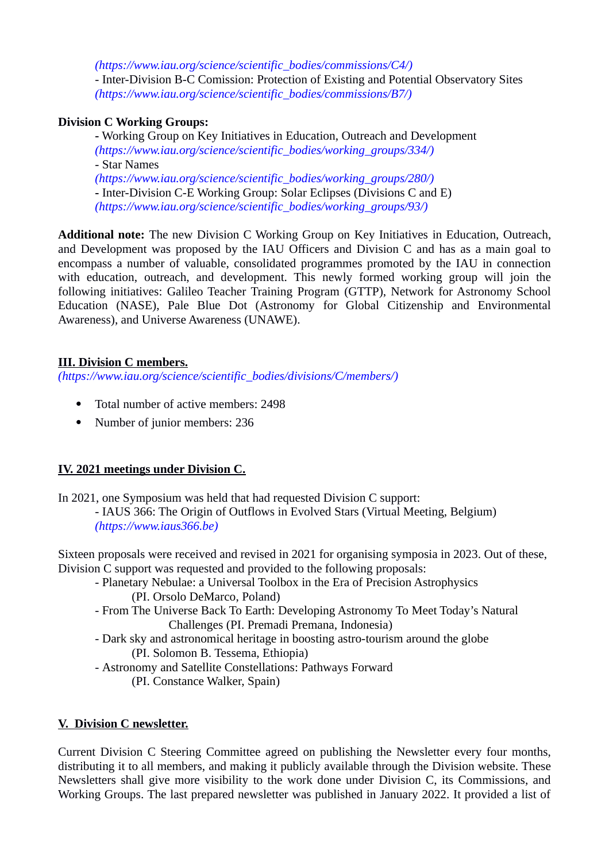*(https://www.iau.org/science/scientific\_bodies/commissions/C4/)* - Inter-Division B-C Comission: Protection of Existing and Potential Observatory Sites *(https://www.iau.org/science/scientific\_bodies/commissions/B7/)*

### **Division C Working Groups:**

**-** Working Group on Key Initiatives in Education, Outreach and Development *(https://www.iau.org/science/scientific\_bodies/working\_groups/334/)* - Star Names *(https://www.iau.org/science/scientific\_bodies/working\_groups/280/)* **-** Inter-Division C-E Working Group: Solar Eclipses (Divisions C and E) *(https://www.iau.org/science/scientific\_bodies/working\_groups/93/)*

**Additional note:** The new Division C Working Group on Key Initiatives in Education, Outreach, and Development was proposed by the IAU Officers and Division C and has as a main goal to encompass a number of valuable, consolidated programmes promoted by the IAU in connection with education, outreach, and development. This newly formed working group will join the following initiatives: Galileo Teacher Training Program (GTTP), Network for Astronomy School Education (NASE), Pale Blue Dot (Astronomy for Global Citizenship and Environmental Awareness), and Universe Awareness (UNAWE).

### **III. Division C members.**

*(https://www.iau.org/science/scientific\_bodies/divisions/C/members/)*

- Total number of active members: 2498
- Number of junior members: 236

# **IV. 2021 meetings under Division C.**

In 2021, one Symposium was held that had requested Division C support:

- IAUS 366: The Origin of Outflows in Evolved Stars (Virtual Meeting, Belgium) *(https://www.iaus366.be)*

Sixteen proposals were received and revised in 2021 for organising symposia in 2023. Out of these, Division C support was requested and provided to the following proposals:

- Planetary Nebulae: a Universal Toolbox in the Era of Precision Astrophysics (PI. Orsolo DeMarco, Poland)
- From The Universe Back To Earth: Developing Astronomy To Meet Today's Natural Challenges (PI. Premadi Premana, Indonesia)
- Dark sky and astronomical heritage in boosting astro-tourism around the globe (PI. Solomon B. Tessema, Ethiopia)
- Astronomy and Satellite Constellations: Pathways Forward
	- (PI. Constance Walker, Spain)

# **V. Division C newsletter.**

Current Division C Steering Committee agreed on publishing the Newsletter every four months, distributing it to all members, and making it publicly available through the Division website. These Newsletters shall give more visibility to the work done under Division C, its Commissions, and Working Groups. The last prepared newsletter was published in January 2022. It provided a list of